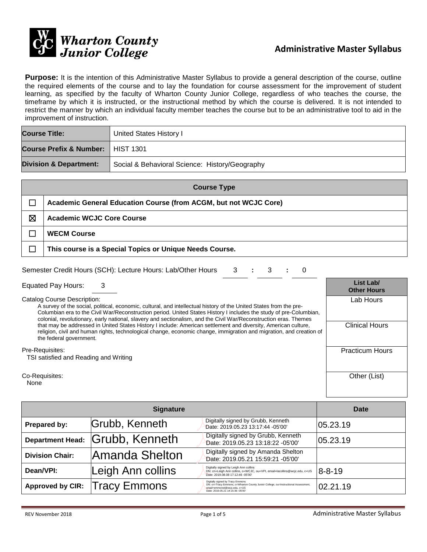

**Purpose:** It is the intention of this Administrative Master Syllabus to provide a general description of the course, outline the required elements of the course and to lay the foundation for course assessment for the improvement of student learning, as specified by the faculty of Wharton County Junior College, regardless of who teaches the course, the timeframe by which it is instructed, or the instructional method by which the course is delivered. It is not intended to restrict the manner by which an individual faculty member teaches the course but to be an administrative tool to aid in the improvement of instruction.

| <b>Course Title:</b>                | United States History I                        |  |
|-------------------------------------|------------------------------------------------|--|
| Course Prefix & Number:   HIST 1301 |                                                |  |
| <b>Division &amp; Department:</b>   | Social & Behavioral Science: History/Geography |  |

| <b>Course Type</b> |                                                                  |  |  |
|--------------------|------------------------------------------------------------------|--|--|
|                    | Academic General Education Course (from ACGM, but not WCJC Core) |  |  |
| ⊠                  | <b>Academic WCJC Core Course</b>                                 |  |  |
|                    | <b>WECM Course</b>                                               |  |  |
|                    | This course is a Special Topics or Unique Needs Course.          |  |  |

| Semester Credit Hours (SCH): Lecture Hours: Lab/Other Hours 3 : 3 : 0 |  |  |  |  |  |  |
|-----------------------------------------------------------------------|--|--|--|--|--|--|
|-----------------------------------------------------------------------|--|--|--|--|--|--|

Equated Pay Hours: 3 **List Lab/**

Catalog Course Description:

A survey of the social, political, economic, cultural, and intellectual history of the United States from the pre-Columbian era to the Civil War/Reconstruction period. United States History I includes the study of pre-Columbian, colonial, revolutionary, early national, slavery and sectionalism, and the Civil War/Reconstruction eras. Themes that may be addressed in United States History I include: American settlement and diversity, American culture, religion, civil and human rights, technological change, economic change, immigration and migration, and creation of the federal government.

#### Pre-Requisites:

TSI satisfied and Reading and Writing

Co-Requisites:

None

|                         | Date                |                                                                                                                                                                                             |              |
|-------------------------|---------------------|---------------------------------------------------------------------------------------------------------------------------------------------------------------------------------------------|--------------|
| Prepared by:            | Grubb, Kenneth      | Digitally signed by Grubb, Kenneth<br>Date: 2019.05.23 13:17:44 -05'00'                                                                                                                     | 05.23.19     |
| <b>Department Head:</b> | Grubb, Kenneth      | Digitally signed by Grubb, Kenneth<br>Date: 2019.05.23 13:18:22 -05'00'                                                                                                                     | 05.23.19     |
| <b>Division Chair:</b>  | Amanda Shelton      | Digitally signed by Amanda Shelton<br>Date: 2019.05.21 15:59:21 -05'00'                                                                                                                     |              |
| Dean/VPI:               | Leigh Ann collins   | Digitally signed by Leigh Ann collins<br>DN: cn=Leigh Ann collins, o=WCJC, ou=VPI, email=lacollins@wcjc.edu, c=US<br>Date: 2019.08.08 17:12:46 -05'00'                                      | $8 - 8 - 19$ |
| <b>Approved by CIR:</b> | <b>Tracy Emmons</b> | Digitally signed by Tracy Emmons<br>DN: cn=Tracy Emmons, o=Wharton County Junior College, ou=Instructional Assessment,<br>email=emmonst@wcjc.edu, c=US<br>Date: 2019.05.21 14:15:36 -05'00' | 02.21.19     |

**Other Hours**

Lab Hours

Clinical Hours

Practicum Hours

Other (List)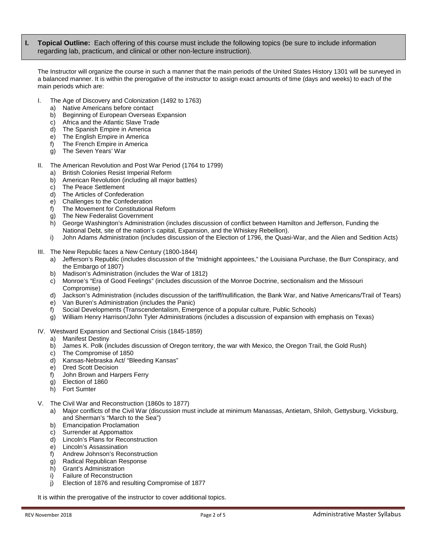**I. Topical Outline:** Each offering of this course must include the following topics (be sure to include information regarding lab, practicum, and clinical or other non-lecture instruction).

The Instructor will organize the course in such a manner that the main periods of the United States History 1301 will be surveyed in a balanced manner. It is within the prerogative of the instructor to assign exact amounts of time (days and weeks) to each of the main periods which are:

- I. The Age of Discovery and Colonization (1492 to 1763)
	- a) Native Americans before contact
	- b) Beginning of European Overseas Expansion
	- c) Africa and the Atlantic Slave Trade<br>d) The Spanish Empire in America
	- The Spanish Empire in America
	- e) The English Empire in America
	- f) The French Empire in America
	- g) The Seven Years' War
- The American Revolution and Post War Period (1764 to 1799)
	- **British Colonies Resist Imperial Reform**
	- b) American Revolution (including all major battles)
	- c) The Peace Settlement
	- d) The Articles of Confederation
	- e) Challenges to the Confederation
	- f) The Movement for Constitutional Reform
	- g) The New Federalist Government
	- h) George Washington's Administration (includes discussion of conflict between Hamilton and Jefferson, Funding the National Debt, site of the nation's capital, Expansion, and the Whiskey Rebellion).
	- i) John Adams Administration (includes discussion of the Election of 1796, the Quasi-War, and the Alien and Sedition Acts)
- III. The New Republic faces a New Century (1800-1844)
	- a) Jefferson's Republic (includes discussion of the "midnight appointees," the Louisiana Purchase, the Burr Conspiracy, and the Embargo of 1807)
	- b) Madison's Administration (includes the War of 1812)
	- c) Monroe's "Era of Good Feelings" (includes discussion of the Monroe Doctrine, sectionalism and the Missouri Compromise)
	- d) Jackson's Administration (includes discussion of the tariff/nullification, the Bank War, and Native Americans/Trail of Tears)
	- e) Van Buren's Administration (includes the Panic)
	- f) Social Developments (Transcendentalism, Emergence of a popular culture, Public Schools)
	- g) William Henry Harrison/John Tyler Administrations (includes a discussion of expansion with emphasis on Texas)
- IV. Westward Expansion and Sectional Crisis (1845-1859)
	- a) Manifest Destiny
	- b) James K. Polk (includes discussion of Oregon territory, the war with Mexico, the Oregon Trail, the Gold Rush)
	- c) The Compromise of 1850
	- d) Kansas-Nebraska Act/ "Bleeding Kansas"
	- e) Dred Scott Decision
	- f) John Brown and Harpers Ferry
	- g) Election of 1860
	- h) Fort Sumter
- V. The Civil War and Reconstruction (1860s to 1877)
	- a) Major conflicts of the Civil War (discussion must include at minimum Manassas, Antietam, Shiloh, Gettysburg, Vicksburg, and Sherman's "March to the Sea")
	- b) Emancipation Proclamation
	- c) Surrender at Appomattox
	- d) Lincoln's Plans for Reconstruction
	- e) Lincoln's Assassination
	- f) Andrew Johnson's Reconstruction
	- g) Radical Republican Response
	- h) Grant's Administration<br>i) Failure of Reconstructi
	- Failure of Reconstruction
	- j) Election of 1876 and resulting Compromise of 1877

It is within the prerogative of the instructor to cover additional topics.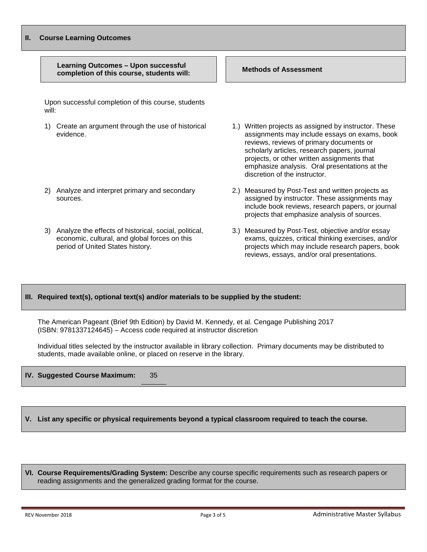#### **II. Course Learning Outcomes Learning Outcomes – Upon successful completion of this course, students will: Methods of Assessment** Upon successful completion of this course, students will: 1) Create an argument through the use of historical evidence. 2) Analyze and interpret primary and secondary sources. 3) Analyze the effects of historical, social, political, economic, cultural, and global forces on this period of United States history. 1.) Written projects as assigned by instructor. These assignments may include essays on exams, book reviews, reviews of primary documents or scholarly articles, research papers, journal projects, or other written assignments that emphasize analysis. Oral presentations at the discretion of the instructor. 2.) Measured by Post-Test and written projects as assigned by instructor. These assignments may include book reviews, research papers, or journal projects that emphasize analysis of sources. 3.) Measured by Post-Test, objective and/or essay exams, quizzes, critical thinking exercises, and/or projects which may include research papers, book reviews, essays, and/or oral presentations.

#### **III. Required text(s), optional text(s) and/or materials to be supplied by the student:**

The American Pageant (Brief 9th Edition) by David M. Kennedy, et al. Cengage Publishing 2017 (ISBN: 9781337124645) – Access code required at instructor discretion

Individual titles selected by the instructor available in library collection. Primary documents may be distributed to students, made available online, or placed on reserve in the library.

#### **IV. Suggested Course Maximum:** 35

**V. List any specific or physical requirements beyond a typical classroom required to teach the course.**

**VI. Course Requirements/Grading System:** Describe any course specific requirements such as research papers or reading assignments and the generalized grading format for the course.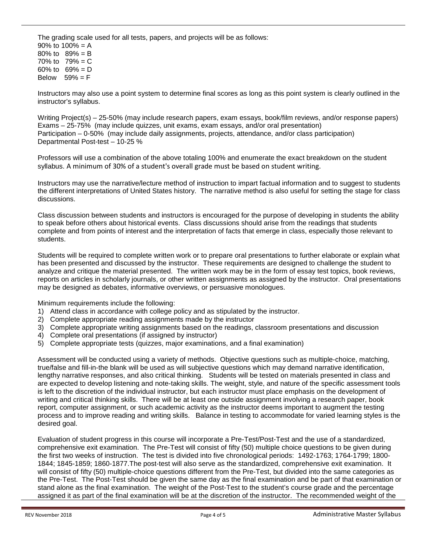The grading scale used for all tests, papers, and projects will be as follows: 90% to  $100% = A$ 80% to 89% = B 70% to  $79% = C$ 60% to  $69% = D$ Below  $59\% = F$ 

Instructors may also use a point system to determine final scores as long as this point system is clearly outlined in the instructor's syllabus.

Writing Project(s) – 25-50% (may include research papers, exam essays, book/film reviews, and/or response papers) Exams – 25-75% (may include quizzes, unit exams, exam essays, and/or oral presentation) Participation – 0-50% (may include daily assignments, projects, attendance, and/or class participation) Departmental Post-test – 10-25 %

Professors will use a combination of the above totaling 100% and enumerate the exact breakdown on the student syllabus. A minimum of 30% of a student's overall grade must be based on student writing.

Instructors may use the narrative/lecture method of instruction to impart factual information and to suggest to students the different interpretations of United States history. The narrative method is also useful for setting the stage for class discussions.

Class discussion between students and instructors is encouraged for the purpose of developing in students the ability to speak before others about historical events. Class discussions should arise from the readings that students complete and from points of interest and the interpretation of facts that emerge in class, especially those relevant to students.

Students will be required to complete written work or to prepare oral presentations to further elaborate or explain what has been presented and discussed by the instructor. These requirements are designed to challenge the student to analyze and critique the material presented. The written work may be in the form of essay test topics, book reviews, reports on articles in scholarly journals, or other written assignments as assigned by the instructor. Oral presentations may be designed as debates, informative overviews, or persuasive monologues.

Minimum requirements include the following:

- 1) Attend class in accordance with college policy and as stipulated by the instructor.
- 2) Complete appropriate reading assignments made by the instructor
- 3) Complete appropriate writing assignments based on the readings, classroom presentations and discussion
- 4) Complete oral presentations (if assigned by instructor)
- 5) Complete appropriate tests (quizzes, major examinations, and a final examination)

Assessment will be conducted using a variety of methods. Objective questions such as multiple-choice, matching, true/false and fill-in-the blank will be used as will subjective questions which may demand narrative identification, lengthy narrative responses, and also critical thinking. Students will be tested on materials presented in class and are expected to develop listening and note-taking skills. The weight, style, and nature of the specific assessment tools is left to the discretion of the individual instructor, but each instructor must place emphasis on the development of writing and critical thinking skills. There will be at least one outside assignment involving a research paper, book report, computer assignment, or such academic activity as the instructor deems important to augment the testing process and to improve reading and writing skills. Balance in testing to accommodate for varied learning styles is the desired goal.

Evaluation of student progress in this course will incorporate a Pre-Test/Post-Test and the use of a standardized, comprehensive exit examination. The Pre-Test will consist of fifty (50) multiple choice questions to be given during the first two weeks of instruction. The test is divided into five chronological periods: 1492-1763; 1764-1799; 1800- 1844; 1845-1859; 1860-1877.The post-test will also serve as the standardized, comprehensive exit examination. It will consist of fifty (50) multiple-choice questions different from the Pre-Test, but divided into the same categories as the Pre-Test. The Post-Test should be given the same day as the final examination and be part of that examination or stand alone as the final examination. The weight of the Post-Test to the student's course grade and the percentage assigned it as part of the final examination will be at the discretion of the instructor. The recommended weight of the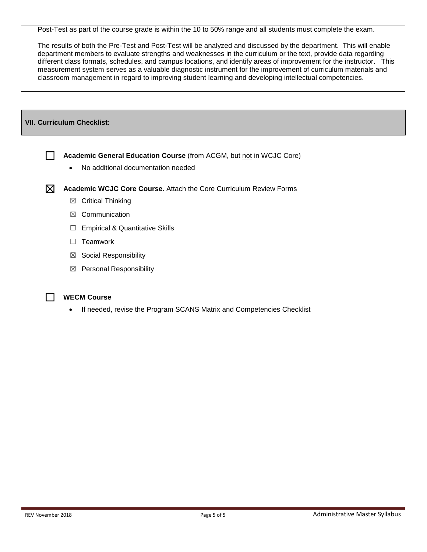Post-Test as part of the course grade is within the 10 to 50% range and all students must complete the exam.

The results of both the Pre-Test and Post-Test will be analyzed and discussed by the department. This will enable department members to evaluate strengths and weaknesses in the curriculum or the text, provide data regarding different class formats, schedules, and campus locations, and identify areas of improvement for the instructor. This measurement system serves as a valuable diagnostic instrument for the improvement of curriculum materials and classroom management in regard to improving student learning and developing intellectual competencies.

| <b>VII. Curriculum Checklist:</b> |                                                                                                                        |  |  |
|-----------------------------------|------------------------------------------------------------------------------------------------------------------------|--|--|
|                                   |                                                                                                                        |  |  |
|                                   | Academic General Education Course (from ACGM, but not in WCJC Core)<br>No additional documentation needed<br>$\bullet$ |  |  |
| $\boxtimes$                       | <b>Academic WCJC Core Course.</b> Attach the Core Curriculum Review Forms                                              |  |  |
|                                   | <b>Critical Thinking</b><br>$\boxtimes$                                                                                |  |  |
|                                   | Communication<br>⊠                                                                                                     |  |  |
|                                   | <b>Empirical &amp; Quantitative Skills</b><br>⊔                                                                        |  |  |
|                                   | Teamwork<br>$\perp$                                                                                                    |  |  |
|                                   | Social Responsibility<br>$\boxtimes$                                                                                   |  |  |
|                                   | <b>Personal Responsibility</b><br>$\boxtimes$                                                                          |  |  |



• If needed, revise the Program SCANS Matrix and Competencies Checklist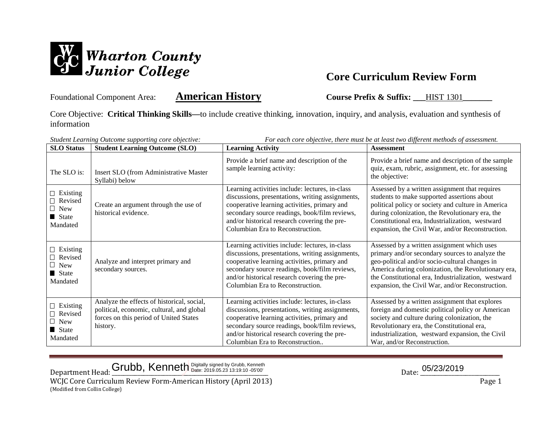

Foundational Component Area: **American History** Course Prefix & Suffix: \_\_\_HIST 1301

Core Objective: **Critical Thinking Skills—**to include creative thinking, innovation, inquiry, and analysis, evaluation and synthesis of information

| For each core objective, there must be at least two different methods of assessment.<br>Student Learning Outcome supporting core objective: |                                                                                                                                               |                                                                                                                                                                                                                                                                                          |                                                                                                                                                                                                                                                                                                                    |  |
|---------------------------------------------------------------------------------------------------------------------------------------------|-----------------------------------------------------------------------------------------------------------------------------------------------|------------------------------------------------------------------------------------------------------------------------------------------------------------------------------------------------------------------------------------------------------------------------------------------|--------------------------------------------------------------------------------------------------------------------------------------------------------------------------------------------------------------------------------------------------------------------------------------------------------------------|--|
| <b>SLO Status</b>                                                                                                                           | <b>Student Learning Outcome (SLO)</b>                                                                                                         | <b>Learning Activity</b>                                                                                                                                                                                                                                                                 | <b>Assessment</b>                                                                                                                                                                                                                                                                                                  |  |
| The SLO is:                                                                                                                                 | <b>Insert SLO</b> (from Administrative Master<br>Syllabi) below                                                                               | Provide a brief name and description of the<br>sample learning activity:                                                                                                                                                                                                                 | Provide a brief name and description of the sample<br>quiz, exam, rubric, assignment, etc. for assessing<br>the objective:                                                                                                                                                                                         |  |
| $\Box$ Existing<br>Revised<br>$\Box$ New<br>State State<br>Mandated                                                                         | Create an argument through the use of<br>historical evidence.                                                                                 | Learning activities include: lectures, in-class<br>discussions, presentations, writing assignments,<br>cooperative learning activities, primary and<br>secondary source readings, book/film reviews,<br>and/or historical research covering the pre-<br>Columbian Era to Reconstruction. | Assessed by a written assignment that requires<br>students to make supported assertions about<br>political policy or society and culture in America<br>during colonization, the Revolutionary era, the<br>Constitutional era, Industrialization, westward<br>expansion, the Civil War, and/or Reconstruction.      |  |
| $\Box$ Existing<br>$\Box$ Revised<br>$\Box$ New<br>State<br>Mandated                                                                        | Analyze and interpret primary and<br>secondary sources.                                                                                       | Learning activities include: lectures, in-class<br>discussions, presentations, writing assignments,<br>cooperative learning activities, primary and<br>secondary source readings, book/film reviews,<br>and/or historical research covering the pre-<br>Columbian Era to Reconstruction. | Assessed by a written assignment which uses<br>primary and/or secondary sources to analyze the<br>geo-political and/or socio-cultural changes in<br>America during colonization, the Revolutionary era,<br>the Constitutional era, Industrialization, westward<br>expansion, the Civil War, and/or Reconstruction. |  |
| $\Box$ Existing<br>Revised<br>$\Box$ New<br>State<br>Mandated                                                                               | Analyze the effects of historical, social,<br>political, economic, cultural, and global<br>forces on this period of United States<br>history. | Learning activities include: lectures, in-class<br>discussions, presentations, writing assignments,<br>cooperative learning activities, primary and<br>secondary source readings, book/film reviews,<br>and/or historical research covering the pre-<br>Columbian Era to Reconstruction  | Assessed by a written assignment that explores<br>foreign and domestic political policy or American<br>society and culture during colonization, the<br>Revolutionary era, the Constitutional era,<br>industrialization, westward expansion, the Civil<br>War, and/or Reconstruction.                               |  |

 $\Delta$ Department Head:  $\frac{$ Grubb, Kenneth Digitally signed by Grubb, Kenneth Channel by Grubb, Cenneth Date:  $\frac{05/23/2019}{2000}$ 

WCJC Core Curriculum Review Form-American History (April 2013) Page 1 (Modified from Collin College)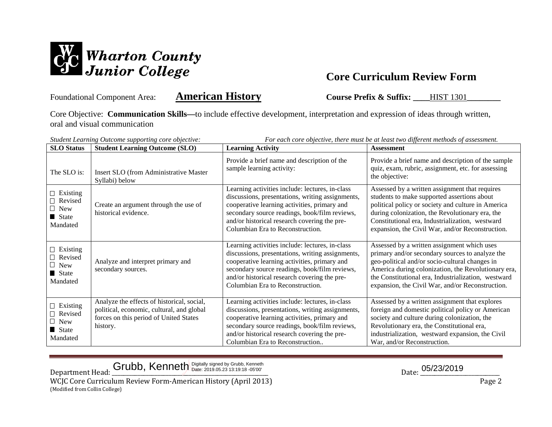

Foundational Component Area: **American History Course Prefix & Suffix:** \_\_\_\_HIST 1301

Core Objective: **Communication Skills—**to include effective development, interpretation and expression of ideas through written, oral and visual communication

| For each core objective, there must be at least two different methods of assessment.<br>Student Learning Outcome supporting core objective: |                                                                                                                                               |                                                                                                                                                                                                                                                                                          |                                                                                                                                                                                                                                                                                                                    |
|---------------------------------------------------------------------------------------------------------------------------------------------|-----------------------------------------------------------------------------------------------------------------------------------------------|------------------------------------------------------------------------------------------------------------------------------------------------------------------------------------------------------------------------------------------------------------------------------------------|--------------------------------------------------------------------------------------------------------------------------------------------------------------------------------------------------------------------------------------------------------------------------------------------------------------------|
| <b>SLO</b> Status                                                                                                                           | <b>Student Learning Outcome (SLO)</b>                                                                                                         | <b>Learning Activity</b>                                                                                                                                                                                                                                                                 | <b>Assessment</b>                                                                                                                                                                                                                                                                                                  |
| The SLO is:                                                                                                                                 | Insert SLO (from Administrative Master<br>Syllabi) below                                                                                      | Provide a brief name and description of the<br>sample learning activity:                                                                                                                                                                                                                 | Provide a brief name and description of the sample<br>quiz, exam, rubric, assignment, etc. for assessing<br>the objective:                                                                                                                                                                                         |
| $\Box$ Existing<br>Revised<br>$\Box$ New<br>State State<br>Mandated                                                                         | Create an argument through the use of<br>historical evidence.                                                                                 | Learning activities include: lectures, in-class<br>discussions, presentations, writing assignments,<br>cooperative learning activities, primary and<br>secondary source readings, book/film reviews,<br>and/or historical research covering the pre-<br>Columbian Era to Reconstruction. | Assessed by a written assignment that requires<br>students to make supported assertions about<br>political policy or society and culture in America<br>during colonization, the Revolutionary era, the<br>Constitutional era, Industrialization, westward<br>expansion, the Civil War, and/or Reconstruction.      |
| $\Box$ Existing<br>Revised<br>$\Box$ New<br>State<br>Mandated                                                                               | Analyze and interpret primary and<br>secondary sources.                                                                                       | Learning activities include: lectures, in-class<br>discussions, presentations, writing assignments,<br>cooperative learning activities, primary and<br>secondary source readings, book/film reviews,<br>and/or historical research covering the pre-<br>Columbian Era to Reconstruction. | Assessed by a written assignment which uses<br>primary and/or secondary sources to analyze the<br>geo-political and/or socio-cultural changes in<br>America during colonization, the Revolutionary era,<br>the Constitutional era, Industrialization, westward<br>expansion, the Civil War, and/or Reconstruction. |
| $\Box$ Existing<br>Revised<br>$\perp$ New<br>State State<br>Mandated                                                                        | Analyze the effects of historical, social,<br>political, economic, cultural, and global<br>forces on this period of United States<br>history. | Learning activities include: lectures, in-class<br>discussions, presentations, writing assignments,<br>cooperative learning activities, primary and<br>secondary source readings, book/film reviews,<br>and/or historical research covering the pre-<br>Columbian Era to Reconstruction  | Assessed by a written assignment that explores<br>foreign and domestic political policy or American<br>society and culture during colonization, the<br>Revolutionary era, the Constitutional era,<br>industrialization, westward expansion, the Civil<br>War, and/or Reconstruction.                               |

## Grubb, Kenneth Digitally signed by Grubb, Kenneth **Example:** 2019.05.23 13:19:18 -05'00' **Date:** 2019.05/23/2019

Department Head: \_\_\_\_\_\_\_\_\_\_\_\_\_\_\_\_\_\_\_\_\_\_\_\_\_\_\_\_\_\_\_\_\_\_\_\_\_\_\_\_\_\_\_\_\_\_\_\_\_\_\_\_\_\_\_ Date: \_\_\_\_\_\_\_\_\_\_\_\_\_\_\_\_\_\_\_\_\_\_\_\_\_\_\_\_

WCJC Core Curriculum Review Form-American History (April 2013) Page 2 (Modified from Collin College)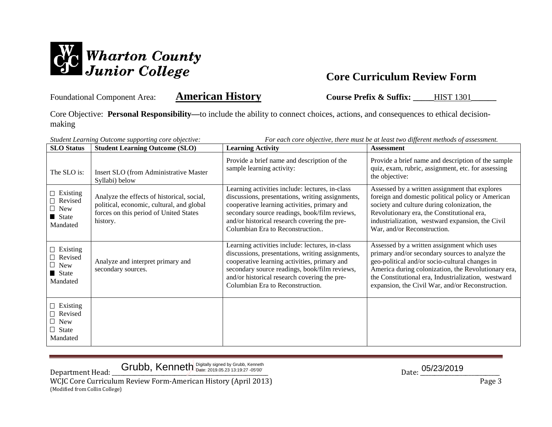

Foundational Component Area: **American History Course Prefix & Suffix:** HIST 1301

Core Objective: **Personal Responsibility—**to include the ability to connect choices, actions, and consequences to ethical decisionmaking

| For each core objective, there must be at least two different methods of assessment.<br>Student Learning Outcome supporting core objective: |                                                                                                                                               |                                                                                                                                                                                                                                                                                          |                                                                                                                                                                                                                                                                                                                    |  |
|---------------------------------------------------------------------------------------------------------------------------------------------|-----------------------------------------------------------------------------------------------------------------------------------------------|------------------------------------------------------------------------------------------------------------------------------------------------------------------------------------------------------------------------------------------------------------------------------------------|--------------------------------------------------------------------------------------------------------------------------------------------------------------------------------------------------------------------------------------------------------------------------------------------------------------------|--|
| <b>SLO</b> Status                                                                                                                           | <b>Student Learning Outcome (SLO)</b>                                                                                                         | <b>Learning Activity</b>                                                                                                                                                                                                                                                                 | <b>Assessment</b>                                                                                                                                                                                                                                                                                                  |  |
| The SLO is:                                                                                                                                 | Insert SLO (from Administrative Master<br>Syllabi) below                                                                                      | Provide a brief name and description of the<br>sample learning activity:                                                                                                                                                                                                                 | Provide a brief name and description of the sample<br>quiz, exam, rubric, assignment, etc. for assessing<br>the objective:                                                                                                                                                                                         |  |
| $\Box$ Existing<br>$\Box$ Revised<br>$\Box$ New<br>State<br>Mandated                                                                        | Analyze the effects of historical, social,<br>political, economic, cultural, and global<br>forces on this period of United States<br>history. | Learning activities include: lectures, in-class<br>discussions, presentations, writing assignments,<br>cooperative learning activities, primary and<br>secondary source readings, book/film reviews,<br>and/or historical research covering the pre-<br>Columbian Era to Reconstruction  | Assessed by a written assignment that explores<br>foreign and domestic political policy or American<br>society and culture during colonization, the<br>Revolutionary era, the Constitutional era,<br>industrialization, westward expansion, the Civil<br>War, and/or Reconstruction.                               |  |
| $\Box$ Existing<br>$\Box$ Revised<br>$\Box$ New<br>State<br>Mandated                                                                        | Analyze and interpret primary and<br>secondary sources.                                                                                       | Learning activities include: lectures, in-class<br>discussions, presentations, writing assignments,<br>cooperative learning activities, primary and<br>secondary source readings, book/film reviews,<br>and/or historical research covering the pre-<br>Columbian Era to Reconstruction. | Assessed by a written assignment which uses<br>primary and/or secondary sources to analyze the<br>geo-political and/or socio-cultural changes in<br>America during colonization, the Revolutionary era,<br>the Constitutional era, Industrialization, westward<br>expansion, the Civil War, and/or Reconstruction. |  |
| $\Box$ Existing<br>$\Box$ Revised<br>$\Box$ New<br>$\Box$ State<br>Mandated                                                                 |                                                                                                                                               |                                                                                                                                                                                                                                                                                          |                                                                                                                                                                                                                                                                                                                    |  |

Grubb, Kenneth Digitally signed by Grubb, Kenneth  $\frac{1}{2}$  and  $\frac{1}{2}$  and  $\frac{1}{2}$  and  $\frac{1}{2}$  and  $\frac{1}{2}$  and  $\frac{1}{2}$  and  $\frac{1}{2}$  and  $\frac{1}{2}$  and  $\frac{1}{2}$  and  $\frac{1}{2}$  and  $\frac{1}{2}$  and  $\frac{1}{2}$  and  $\frac$ 

Department Head: GIUDD, Kenneth Digitally Signed by Grubb, Kenneth<br>WCJC Core Curriculum Review Form-American History (April 2013)<br>Page 3 WCJC Core Curriculum Review Form-American History (April 2013) (Modified from Collin College)